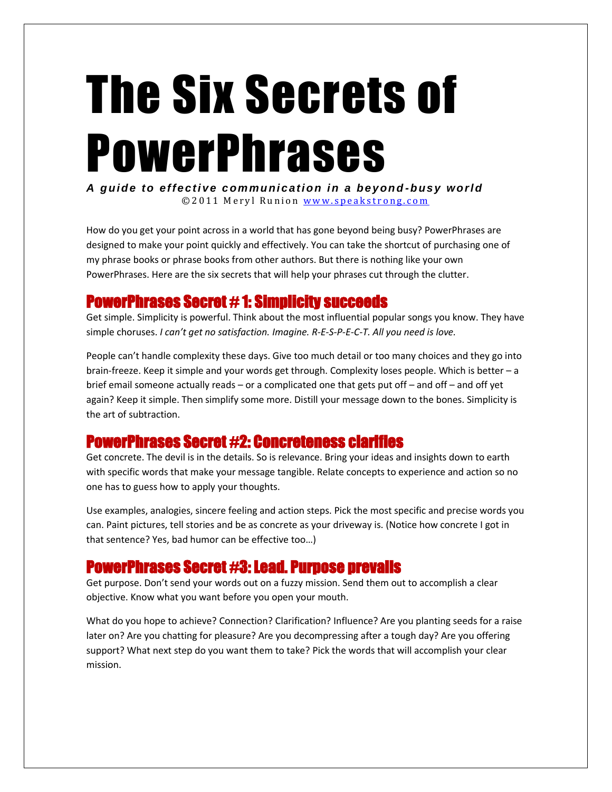# The Six Secrets of PowerPhrases

*A guide to effe ctiv e c ommunic ation in a bey ond -bus y worl d* © 2011 Meryl Runion www.speakstrong.com

How do you get your point across in a world that has gone beyond being busy? PowerPhrases are designed to make your point quickly and effectively. You can take the shortcut of purchasing one of my phrase books or phrase books from other authors. But there is nothing like your own PowerPhrases. Here are the six secrets that will help your phrases cut through the clutter.

## PowerPhrases Secret # 1: Simplicity succeeds

Get simple. Simplicity is powerful. Think about the most influential popular songs you know. They have simple choruses. *I can't get no satisfaction. Imagine. R-E-S-P-E-C-T. All you need is love.*

People can't handle complexity these days. Give too much detail or too many choices and they go into brain-freeze. Keep it simple and your words get through. Complexity loses people. Which is better – a brief email someone actually reads – or a complicated one that gets put off – and off – and off yet again? Keep it simple. Then simplify some more. Distill your message down to the bones. Simplicity is the art of subtraction.

## PowerPhrases Secret #2: Concreteness clarifies

Get concrete. The devil is in the details. So is relevance. Bring your ideas and insights down to earth with specific words that make your message tangible. Relate concepts to experience and action so no one has to guess how to apply your thoughts.

Use examples, analogies, sincere feeling and action steps. Pick the most specific and precise words you can. Paint pictures, tell stories and be as concrete as your driveway is. (Notice how concrete I got in that sentence? Yes, bad humor can be effective too…)

## PowerPhrases Secret #3: Lead. Purpose prevails

Get purpose. Don't send your words out on a fuzzy mission. Send them out to accomplish a clear objective. Know what you want before you open your mouth.

What do you hope to achieve? Connection? Clarification? Influence? Are you planting seeds for a raise later on? Are you chatting for pleasure? Are you decompressing after a tough day? Are you offering support? What next step do you want them to take? Pick the words that will accomplish your clear mission.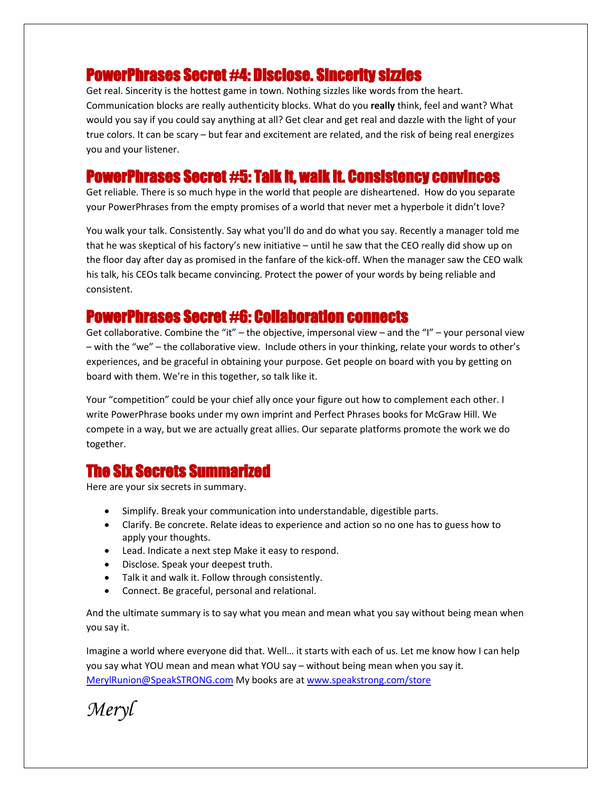## PowerPhrases Secret #4: Disclose. Sincerity sizzles

Get real. Sincerity is the hottest game in town. Nothing sizzles like words from the heart. Communication blocks are really authenticity blocks. What do you **really** think, feel and want? What would you say if you could say anything at all? Get clear and get real and dazzle with the light of your true colors. It can be scary – but fear and excitement are related, and the risk of being real energizes you and your listener.

## PowerPhrases Secret #5: Talk it, walk it. Consistency convinces

Get reliable. There is so much hype in the world that people are disheartened. How do you separate your PowerPhrases from the empty promises of a world that never met a hyperbole it didn't love?

You walk your talk. Consistently. Say what you'll do and do what you say. Recently a manager told me that he was skeptical of his factory's new initiative – until he saw that the CEO really did show up on the floor day after day as promised in the fanfare of the kick-off. When the manager saw the CEO walk his talk, his CEOs talk became convincing. Protect the power of your words by being reliable and consistent.

#### PowerPhrases Secret #6: Collaboration connects

Get collaborative. Combine the "it" – the objective, impersonal view – and the "I" – your personal view – with the "we" – the collaborative view. Include others in your thinking, relate your words to other's experiences, and be graceful in obtaining your purpose. Get people on board with you by getting on board with them. We're in this together, so talk like it.

Your "competition" could be your chief ally once your figure out how to complement each other. I write PowerPhrase books under my own imprint and Perfect Phrases books for McGraw Hill. We compete in a way, but we are actually great allies. Our separate platforms promote the work we do together.

# The Six Secrets Summarized

Here are your six secrets in summary.

- Simplify. Break your communication into understandable, digestible parts.
- Clarify. Be concrete. Relate ideas to experience and action so no one has to guess how to apply your thoughts.
- Lead. Indicate a next step Make it easy to respond.
- Disclose. Speak your deepest truth.
- Talk it and walk it. Follow through consistently.
- Connect. Be graceful, personal and relational.

And the ultimate summary is to say what you mean and mean what you say without being mean when you say it.

Imagine a world where everyone did that. Well… it starts with each of us. Let me know how I can help you say what YOU mean and mean what YOU say – without being mean when you say it. [MerylRunion@SpeakSTRONG.com](mailto:MerylRunion@SpeakSTRONG.com) My books are at [www.speakstrong.com/store](http://www.speakstrong.com/store)

*Meryl*